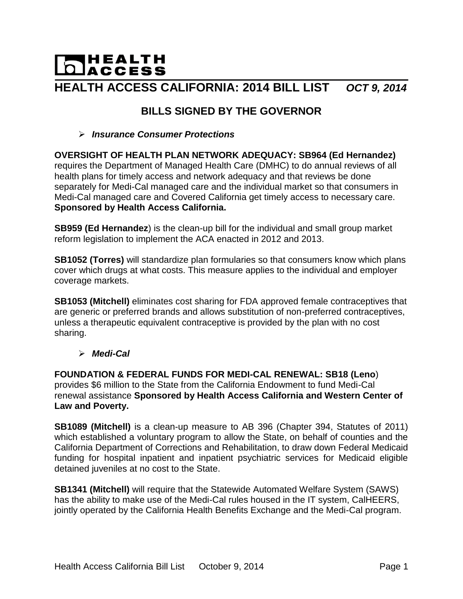# **DACCESS HEALTH ACCESS CALIFORNIA: 2014 BILL LIST** *OCT 9, 2014*

# **BILLS SIGNED BY THE GOVERNOR**

#### *Insurance Consumer Protections*

#### **OVERSIGHT OF HEALTH PLAN NETWORK ADEQUACY: SB964 (Ed Hernandez)** requires the Department of Managed Health Care (DMHC) to do annual reviews of all health plans for timely access and network adequacy and that reviews be done separately for Medi-Cal managed care and the individual market so that consumers in Medi-Cal managed care and Covered California get timely access to necessary care. **Sponsored by Health Access California.**

**SB959 (Ed Hernandez**) is the clean-up bill for the individual and small group market reform legislation to implement the ACA enacted in 2012 and 2013.

**SB1052 (Torres)** will standardize plan formularies so that consumers know which plans cover which drugs at what costs. This measure applies to the individual and employer coverage markets.

**SB1053 (Mitchell)** eliminates cost sharing for FDA approved female contraceptives that are generic or preferred brands and allows substitution of non-preferred contraceptives, unless a therapeutic equivalent contraceptive is provided by the plan with no cost sharing.

## *Medi-Cal*

**FOUNDATION & FEDERAL FUNDS FOR MEDI-CAL RENEWAL: SB18 (Leno**) provides \$6 million to the State from the California Endowment to fund Medi-Cal renewal assistance **Sponsored by Health Access California and Western Center of Law and Poverty.**

**SB1089 (Mitchell)** is a clean-up measure to AB 396 (Chapter 394, Statutes of 2011) which established a voluntary program to allow the State, on behalf of counties and the California Department of Corrections and Rehabilitation, to draw down Federal Medicaid funding for hospital inpatient and inpatient psychiatric services for Medicaid eligible detained juveniles at no cost to the State.

**SB1341 (Mitchell)** will require that the Statewide Automated Welfare System (SAWS) has the ability to make use of the Medi-Cal rules housed in the IT system, CalHEERS, jointly operated by the California Health Benefits Exchange and the Medi-Cal program.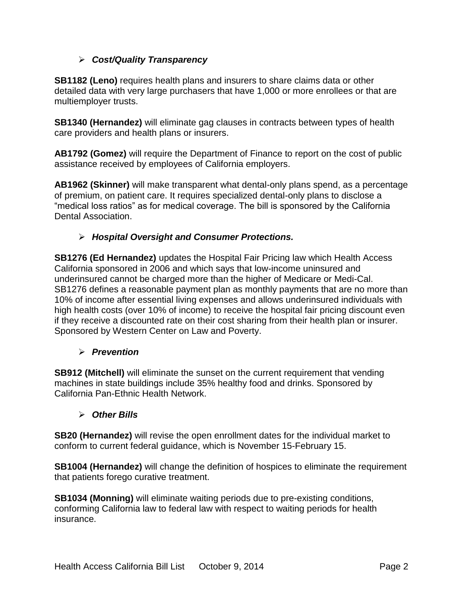## *Cost/Quality Transparency*

**SB1182 (Leno)** requires health plans and insurers to share claims data or other detailed data with very large purchasers that have 1,000 or more enrollees or that are multiemployer trusts.

**SB1340 (Hernandez)** will eliminate gag clauses in contracts between types of health care providers and health plans or insurers.

**AB1792 (Gomez)** will require the Department of Finance to report on the cost of public assistance received by employees of California employers.

**AB1962 (Skinner)** will make transparent what dental-only plans spend, as a percentage of premium, on patient care. It requires specialized dental-only plans to disclose a "medical loss ratios" as for medical coverage. The bill is sponsored by the California Dental Association.

## *Hospital Oversight and Consumer Protections.*

**SB1276 (Ed Hernandez)** updates the Hospital Fair Pricing law which Health Access California sponsored in 2006 and which says that low-income uninsured and underinsured cannot be charged more than the higher of Medicare or Medi-Cal. SB1276 defines a reasonable payment plan as monthly payments that are no more than 10% of income after essential living expenses and allows underinsured individuals with high health costs (over 10% of income) to receive the hospital fair pricing discount even if they receive a discounted rate on their cost sharing from their health plan or insurer. Sponsored by Western Center on Law and Poverty.

#### *Prevention*

**SB912 (Mitchell)** will eliminate the sunset on the current requirement that vending machines in state buildings include 35% healthy food and drinks. Sponsored by California Pan-Ethnic Health Network.

#### *Other Bills*

**SB20 (Hernandez)** will revise the open enrollment dates for the individual market to conform to current federal guidance, which is November 15-February 15.

**SB1004 (Hernandez)** will change the definition of hospices to eliminate the requirement that patients forego curative treatment.

**SB1034 (Monning)** will eliminate waiting periods due to pre-existing conditions, conforming California law to federal law with respect to waiting periods for health insurance.